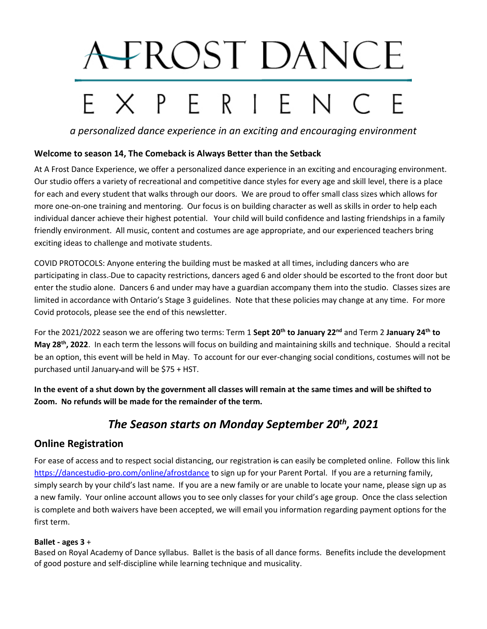# A FROST DANCE EXPERIENC

*a personalized dance experience in an exciting and encouraging environment*

## **Welcome to season 14, The Comeback is Always Better than the Setback**

At A Frost Dance Experience, we offer a personalized dance experience in an exciting and encouraging environment. Our studio offers a variety of recreational and competitive dance styles for every age and skill level, there is a place for each and every student that walks through our doors. We are proud to offer small class sizes which allows for more one-on-one training and mentoring. Our focus is on building character as well as skills in order to help each individual dancer achieve their highest potential. Your child will build confidence and lasting friendships in a family friendly environment. All music, content and costumes are age appropriate, and our experienced teachers bring exciting ideas to challenge and motivate students.

COVID PROTOCOLS: Anyone entering the building must be masked at all times, including dancers who are participating in class. Due to capacity restrictions, dancers aged 6 and older should be escorted to the front door but enter the studio alone. Dancers 6 and under may have a guardian accompany them into the studio. Classes sizes are limited in accordance with Ontario's Stage 3 guidelines. Note that these policies may change at any time. For more Covid protocols, please see the end of this newsletter.

For the 2021/2022 season we are offering two terms: Term 1 **Sept 20th to January 22nd** and Term 2 **January 24th to May 28th, 2022**. In each term the lessons will focus on building and maintaining skills and technique. Should a recital be an option, this event will be held in May. To account for our ever-changing social conditions, costumes will not be purchased until January and will be \$75 + HST.

**In the event of a shut down by the government all classes will remain at the same times and will be shifted to Zoom. No refunds will be made for the remainder of the term.** 

# *The Season starts on Monday September 20 th, 2021*

# **Online Registration**

For ease of access and to respect social distancing, our registration is can easily be completed online. Follow this link <https://dancestudio-pro.com/online/afrostdance> to sign up for your Parent Portal. If you are a returning family, simply search by your child's last name. If you are a new family or are unable to locate your name, please sign up as a new family. Your online account allows you to see only classes for your child's age group. Once the class selection is complete and both waivers have been accepted, we will email you information regarding payment options for the first term.

#### **Ballet - ages 3** +

Based on Royal Academy of Dance syllabus. Ballet is the basis of all dance forms. Benefits include the development of good posture and self-discipline while learning technique and musicality.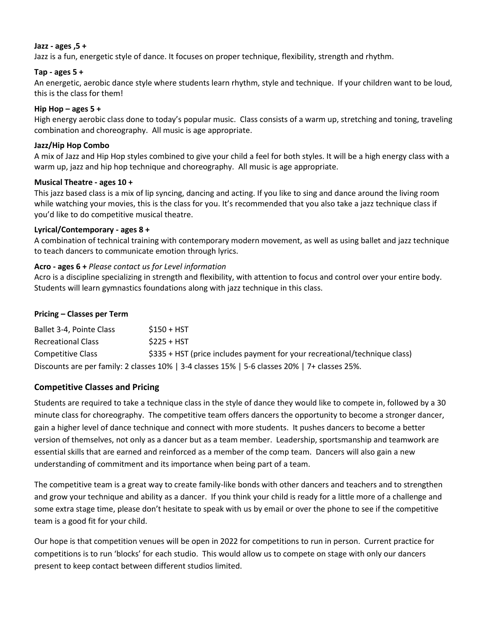#### **Jazz - ages ,5 +**

Jazz is a fun, energetic style of dance. It focuses on proper technique, flexibility, strength and rhythm.

#### **Tap - ages 5 +**

An energetic, aerobic dance style where students learn rhythm, style and technique. If your children want to be loud, this is the class for them!

#### **Hip Hop – ages 5 +**

High energy aerobic class done to today's popular music. Class consists of a warm up, stretching and toning, traveling combination and choreography. All music is age appropriate.

#### **Jazz/Hip Hop Combo**

A mix of Jazz and Hip Hop styles combined to give your child a feel for both styles. It will be a high energy class with a warm up, jazz and hip hop technique and choreography. All music is age appropriate.

#### **Musical Theatre - ages 10 +**

This jazz based class is a mix of lip syncing, dancing and acting. If you like to sing and dance around the living room while watching your movies, this is the class for you. It's recommended that you also take a jazz technique class if you'd like to do competitive musical theatre.

#### **Lyrical/Contemporary - ages 8 +**

A combination of technical training with contemporary modern movement, as well as using ballet and jazz technique to teach dancers to communicate emotion through lyrics.

#### **Acro - ages 6 +** *Please contact us for Level information*

Acro is a discipline specializing in strength and flexibility, with attention to focus and control over your entire body. Students will learn gymnastics foundations along with jazz technique in this class.

#### **Pricing – Classes per Term**

| Ballet 3-4, Pointe Class  | $$150 + HST$                                                                                  |
|---------------------------|-----------------------------------------------------------------------------------------------|
| <b>Recreational Class</b> | $S225 + HST$                                                                                  |
| Competitive Class         | \$335 + HST (price includes payment for your recreational/technique class)                    |
|                           | Discounts are per family: 2 classes 10%   3-4 classes 15%   5-6 classes 20%   7+ classes 25%. |

#### **Competitive Classes and Pricing**

Students are required to take a technique class in the style of dance they would like to compete in, followed by a 30 minute class for choreography. The competitive team offers dancers the opportunity to become a stronger dancer, gain a higher level of dance technique and connect with more students. It pushes dancers to become a better version of themselves, not only as a dancer but as a team member. Leadership, sportsmanship and teamwork are essential skills that are earned and reinforced as a member of the comp team. Dancers will also gain a new understanding of commitment and its importance when being part of a team.

The competitive team is a great way to create family-like bonds with other dancers and teachers and to strengthen and grow your technique and ability as a dancer. If you think your child is ready for a little more of a challenge and some extra stage time, please don't hesitate to speak with us by email or over the phone to see if the competitive team is a good fit for your child.

Our hope is that competition venues will be open in 2022 for competitions to run in person. Current practice for competitions is to run 'blocks' for each studio. This would allow us to compete on stage with only our dancers present to keep contact between different studios limited.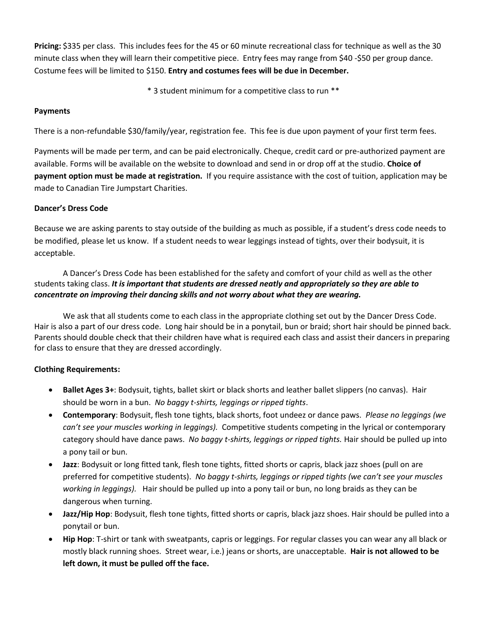**Pricing:** \$335 per class. This includes fees for the 45 or 60 minute recreational class for technique as well as the 30 minute class when they will learn their competitive piece. Entry fees may range from \$40 -\$50 per group dance. Costume fees will be limited to \$150. **Entry and costumes fees will be due in December.**

\* 3 student minimum for a competitive class to run \*\*

#### **Payments**

There is a non-refundable \$30/family/year, registration fee. This fee is due upon payment of your first term fees.

Payments will be made per term, and can be paid electronically. Cheque, credit card or pre-authorized payment are available. Forms will be available on the website to download and send in or drop off at the studio. **Choice of payment option must be made at registration.** If you require assistance with the cost of tuition, application may be made to Canadian Tire Jumpstart Charities.

#### **Dancer's Dress Code**

Because we are asking parents to stay outside of the building as much as possible, if a student's dress code needs to be modified, please let us know. If a student needs to wear leggings instead of tights, over their bodysuit, it is acceptable.

A Dancer's Dress Code has been established for the safety and comfort of your child as well as the other students taking class. *It is important that students are dressed neatly and appropriately so they are able to concentrate on improving their dancing skills and not worry about what they are wearing.*

We ask that all students come to each class in the appropriate clothing set out by the Dancer Dress Code. Hair is also a part of our dress code. Long hair should be in a ponytail, bun or braid; short hair should be pinned back. Parents should double check that their children have what is required each class and assist their dancers in preparing for class to ensure that they are dressed accordingly.

#### **Clothing Requirements:**

- **Ballet Ages 3+**: Bodysuit, tights, ballet skirt or black shorts and leather ballet slippers (no canvas). Hair should be worn in a bun. *No baggy t-shirts, leggings or ripped tights*.
- **Contemporary**: Bodysuit, flesh tone tights, black shorts, foot undeez or dance paws. *Please no leggings (we can't see your muscles working in leggings).* Competitive students competing in the lyrical or contemporary category should have dance paws. *No baggy t-shirts, leggings or ripped tights.* Hair should be pulled up into a pony tail or bun.
- **Jazz**: Bodysuit or long fitted tank, flesh tone tights, fitted shorts or capris, black jazz shoes (pull on are preferred for competitive students). *No baggy t-shirts, leggings or ripped tights (we can't see your muscles working in leggings).* Hair should be pulled up into a pony tail or bun, no long braids as they can be dangerous when turning.
- **Jazz/Hip Hop**: Bodysuit, flesh tone tights, fitted shorts or capris, black jazz shoes. Hair should be pulled into a ponytail or bun.
- **Hip Hop**: T-shirt or tank with sweatpants, capris or leggings. For regular classes you can wear any all black or mostly black running shoes. Street wear, i.e.) jeans or shorts, are unacceptable. **Hair is not allowed to be left down, it must be pulled off the face.**